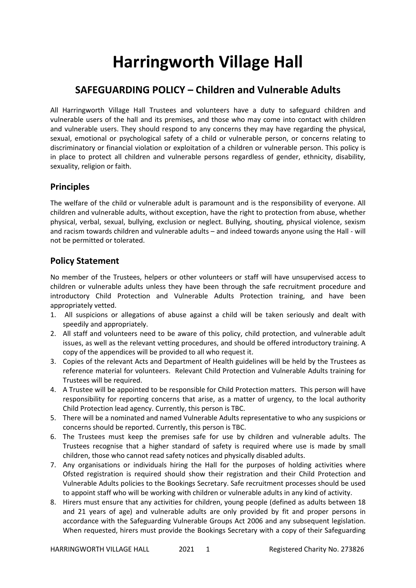## **Harringworth Village Hall**

## **SAFEGUARDING POLICY – Children and Vulnerable Adults**

All Harringworth Village Hall Trustees and volunteers have a duty to safeguard children and vulnerable users of the hall and its premises, and those who may come into contact with children and vulnerable users. They should respond to any concerns they may have regarding the physical, sexual, emotional or psychological safety of a child or vulnerable person, or concerns relating to discriminatory or financial violation or exploitation of a children or vulnerable person. This policy is in place to protect all children and vulnerable persons regardless of gender, ethnicity, disability, sexuality, religion or faith.

## **Principles**

The welfare of the child or vulnerable adult is paramount and is the responsibility of everyone. All children and vulnerable adults, without exception, have the right to protection from abuse, whether physical, verbal, sexual, bullying, exclusion or neglect. Bullying, shouting, physical violence, sexism and racism towards children and vulnerable adults – and indeed towards anyone using the Hall - will not be permitted or tolerated.

## **Policy Statement**

No member of the Trustees, helpers or other volunteers or staff will have unsupervised access to children or vulnerable adults unless they have been through the safe recruitment procedure and introductory Child Protection and Vulnerable Adults Protection training, and have been appropriately vetted.

- 1. All suspicions or allegations of abuse against a child will be taken seriously and dealt with speedily and appropriately.
- 2. All staff and volunteers need to be aware of this policy, child protection, and vulnerable adult issues, as well as the relevant vetting procedures, and should be offered introductory training. A copy of the appendices will be provided to all who request it.
- 3. Copies of the relevant Acts and Department of Health guidelines will be held by the Trustees as reference material for volunteers. Relevant Child Protection and Vulnerable Adults training for Trustees will be required.
- 4. A Trustee will be appointed to be responsible for Child Protection matters. This person will have responsibility for reporting concerns that arise, as a matter of urgency, to the local authority Child Protection lead agency. Currently, this person is TBC.
- 5. There will be a nominated and named Vulnerable Adults representative to who any suspicions or concerns should be reported. Currently, this person is TBC.
- 6. The Trustees must keep the premises safe for use by children and vulnerable adults. The Trustees recognise that a higher standard of safety is required where use is made by small children, those who cannot read safety notices and physically disabled adults.
- 7. Any organisations or individuals hiring the Hall for the purposes of holding activities where Ofsted registration is required should show their registration and their Child Protection and Vulnerable Adults policies to the Bookings Secretary. Safe recruitment processes should be used to appoint staff who will be working with children or vulnerable adults in any kind of activity.
- 8. Hirers must ensure that any activities for children, young people (defined as adults between 18 and 21 years of age) and vulnerable adults are only provided by fit and proper persons in accordance with the Safeguarding Vulnerable Groups Act 2006 and any subsequent legislation. When requested, hirers must provide the Bookings Secretary with a copy of their Safeguarding